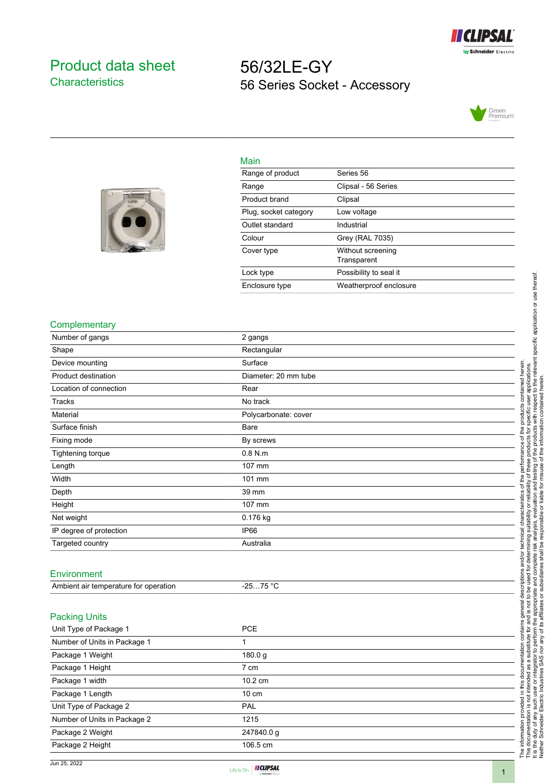

## <span id="page-0-0"></span>Product data sheet **Characteristics**

## 56/32LE-GY 56 Series Socket - Accessory





| Main                  |                                  |
|-----------------------|----------------------------------|
| Range of product      | Series 56                        |
| Range                 | Clipsal - 56 Series              |
| Product brand         | Clipsal                          |
| Plug, socket category | Low voltage                      |
| Outlet standard       | Industrial                       |
| Colour                | Grey (RAL 7035)                  |
| Cover type            | Without screening<br>Transparent |
| Lock type             | Possibility to seal it           |
| Enclosure type        | Weatherproof enclosure           |
|                       |                                  |

## **Complementary**

| Number of gangs                       | 2 gangs              |
|---------------------------------------|----------------------|
| Shape                                 | Rectangular          |
| Device mounting                       | Surface              |
| Product destination                   | Diameter: 20 mm tube |
| Location of connection                | Rear                 |
| Tracks                                | No track             |
| Material                              | Polycarbonate: cover |
| Surface finish                        | Bare                 |
| Fixing mode                           | By screws            |
| Tightening torque                     | $0.8$ N.m.           |
| Length                                | 107 mm               |
| Width                                 | 101 mm               |
| Depth                                 | 39 mm                |
| Height                                | 107 mm               |
| Net weight                            | 0.176 kg             |
| IP degree of protection               | <b>IP66</b>          |
| Targeted country                      | Australia            |
|                                       |                      |
| Environment                           |                      |
| Ambient air temperature for operation | $-2575 °C$           |
| <b>Packing Units</b>                  |                      |
| Unit Type of Package 1                | PCE                  |
| Number of Units in Package 1          | 1                    |
| Package 1 Weight                      | 180.0 g              |

Package 1 Height 7 cm Package 1 width 10.2 cm Package 1 Length 10 cm Unit Type of Package 2 PAL Number of Units in Package 2 1215 Package 2 Weight 247840.0 g Package 2 Height 106.5 cm